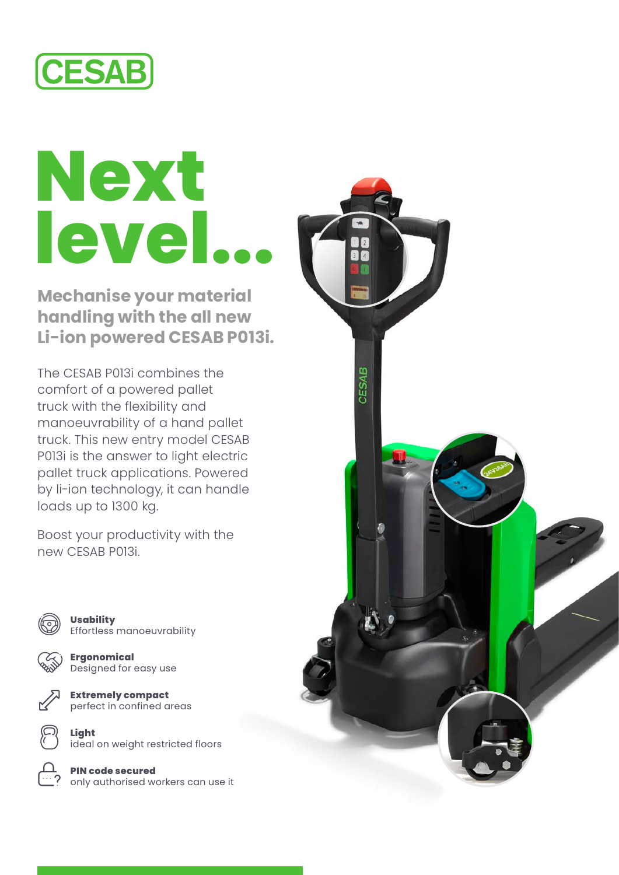

## **Next level...**

**Mechanise your material handling with the all new Li-ion powered CESAB P013i.**

The CESAB P013i combines the comfort of a powered pallet truck with the flexibility and manoeuvrability of a hand pallet truck. This new entry model CESAB P013i is the answer to light electric pallet truck applications. Powered by li-ion technology, it can handle loads up to 1300 kg.

Boost your productivity with the new CESAB P013i.



**Usability** Effortless manoeuvrability



**Ergonomical** Designed for easy use



**Extremely compact**  perfect in confined areas

**Light**  ideal on weight restricted floors

**PIN code secured**  only authorised workers can use it